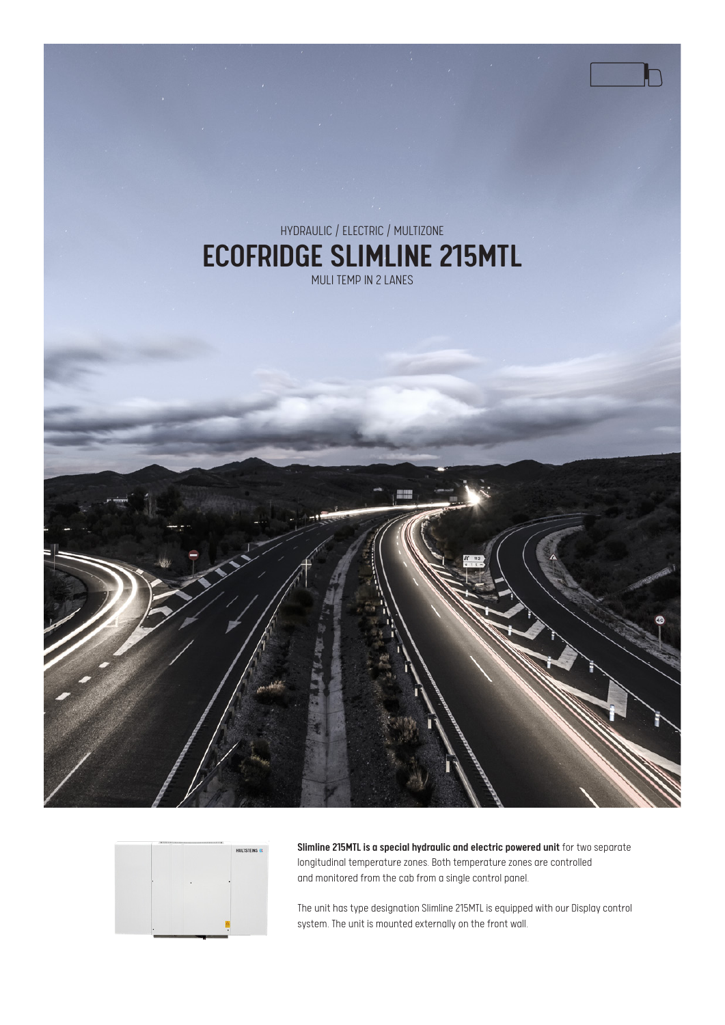



Slimline 215MTL is a special hydraulic and electric powered unit for two separate longitudinal temperature zones. Both temperature zones are controlled and monitored from the cab from a single control panel.

The unit has type designation Slimline 215MTL is equipped with our Display control system. The unit is mounted externally on the front wall.